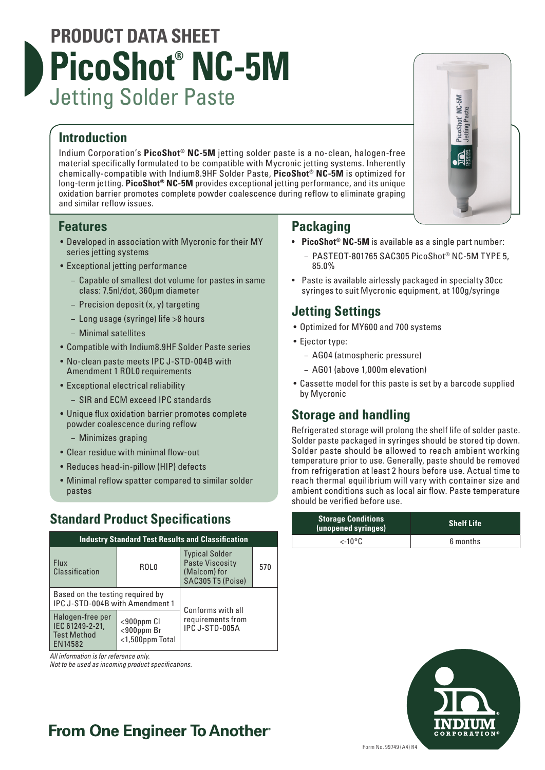# **PRODUCT DATA SHEET PicoShot® NC-5M** Jetting Solder Paste

### **Introduction**

Indium Corporation's **PicoShot® NC-5M** jetting solder paste is a no-clean, halogen-free material specifically formulated to be compatible with Mycronic jetting systems. Inherently chemically-compatible with Indium8.9HF Solder Paste, **PicoShot® NC-5M** is optimized for long-term jetting. **PicoShot® NC-5M** provides exceptional jetting performance, and its unique oxidation barrier promotes complete powder coalescence during reflow to eliminate graping and similar reflow issues.

### **Features**

- Developed in association with Mycronic for their MY series jetting systems
- Exceptional jetting performance
	- − Capable of smallest dot volume for pastes in same class: 7.5nl/dot, 360μm diameter
	- − Precision deposit (x, y) targeting
	- − Long usage (syringe) life >8 hours
	- − Minimal satellites
- Compatible with Indium8.9HF Solder Paste series
- No-clean paste meets IPC J-STD-004B with Amendment 1 ROL0 requirements
- Exceptional electrical reliability
	- − SIR and ECM exceed IPC standards
- Unique flux oxidation barrier promotes complete powder coalescence during reflow
	- − Minimizes graping
- Clear residue with minimal flow-out
- Reduces head-in-pillow (HIP) defects
- Minimal reflow spatter compared to similar solder pastes

## **Standard Product Specifications**

| <b>Industry Standard Test Results and Classification</b>             |                                                         |                                                                                      |     |
|----------------------------------------------------------------------|---------------------------------------------------------|--------------------------------------------------------------------------------------|-----|
| <b>Flux</b><br>Classification                                        | R <sub>OLO</sub>                                        | <b>Typical Solder</b><br><b>Paste Viscosity</b><br>(Malcom) for<br>SAC305 T5 (Poise) | 570 |
| Based on the testing required by<br>IPC J-STD-004B with Amendment 1  |                                                         | Conforms with all                                                                    |     |
| Halogen-free per<br>IEC 61249-2-21,<br><b>Test Method</b><br>EN14582 | $<$ 900 $ppm$ Cl<br>$<$ 900ppm Br<br>$<$ 1,500ppm Total | requirements from<br>IPC J-STD-005A                                                  |     |

*All information is for reference only.*

*Not to be used as incoming product specifications.*

### **Packaging**

- **PicoShot® NC-5M** is available as a single part number: − PASTEOT-801765 SAC305 PicoShot® NC-5M TYPE 5,
	- 85.0%
- Paste is available airlessly packaged in specialty 30cc syringes to suit Mycronic equipment, at 100g/syringe

### **Jetting Settings**

- Optimized for MY600 and 700 systems
- Ejector type:
	- − AG04 (atmospheric pressure)
	- − AG01 (above 1,000m elevation)
- Cassette model for this paste is set by a barcode supplied by Mycronic

### **Storage and handling**

Refrigerated storage will prolong the shelf life of solder paste. Solder paste packaged in syringes should be stored tip down. Solder paste should be allowed to reach ambient working temperature prior to use. Generally, paste should be removed from refrigeration at least 2 hours before use. Actual time to reach thermal equilibrium will vary with container size and ambient conditions such as local air flow. Paste temperature should be verified before use.

| <b>Storage Conditions</b><br>(unopened syringes) | <b>Shelf Life</b> |
|--------------------------------------------------|-------------------|
| $\epsilon$ -10°C                                 | 6 months          |



## **From One Engineer To Another**®